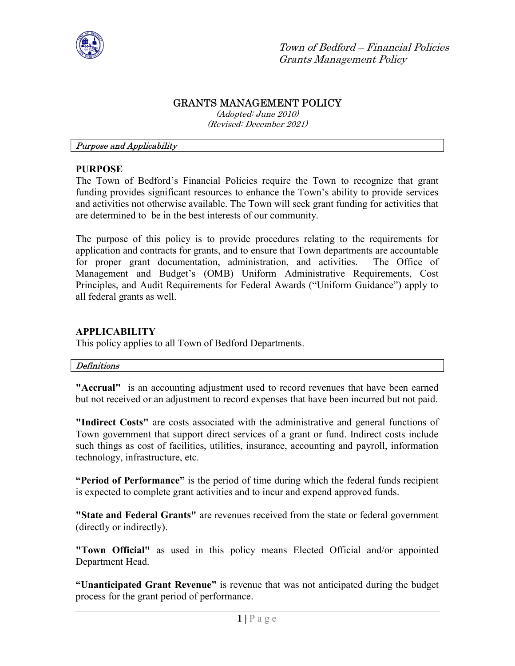

# GRANTS MANAGEMENT POLICY

(Adopted: June 2010) (Revised: December 2021)

#### Purpose and Applicability

### PURPOSE

The Town of Bedford's Financial Policies require the Town to recognize that grant funding provides significant resources to enhance the Town's ability to provide services and activities not otherwise available. The Town will seek grant funding for activities that are determined to be in the best interests of our community.

The purpose of this policy is to provide procedures relating to the requirements for application and contracts for grants, and to ensure that Town departments are accountable for proper grant documentation, administration, and activities. The Office of Management and Budget's (OMB) Uniform Administrative Requirements, Cost Principles, and Audit Requirements for Federal Awards ("Uniform Guidance") apply to all federal grants as well.

### APPLICABILITY

This policy applies to all Town of Bedford Departments.

#### Definitions

"Accrual" is an accounting adjustment used to record revenues that have been earned but not received or an adjustment to record expenses that have been incurred but not paid.

"Indirect Costs" are costs associated with the administrative and general functions of Town government that support direct services of a grant or fund. Indirect costs include such things as cost of facilities, utilities, insurance, accounting and payroll, information technology, infrastructure, etc.

"Period of Performance" is the period of time during which the federal funds recipient is expected to complete grant activities and to incur and expend approved funds.

"State and Federal Grants" are revenues received from the state or federal government (directly or indirectly).

"Town Official" as used in this policy means Elected Official and/or appointed Department Head.

"Unanticipated Grant Revenue" is revenue that was not anticipated during the budget process for the grant period of performance.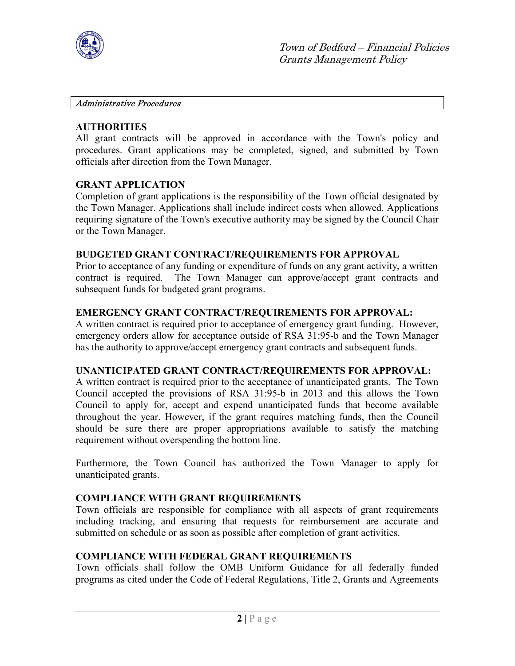

#### Administrative Procedures

### **AUTHORITIES**

All grant contracts will be approved in accordance with the Town's policy and procedures. Grant applications may be completed, signed, and submitted by Town officials after direction from the Town Manager.

### GRANT APPLICATION

Completion of grant applications is the responsibility of the Town official designated by the Town Manager. Applications shall include indirect costs when allowed. Applications requiring signature of the Town's executive authority may be signed by the Council Chair or the Town Manager.

### BUDGETED GRANT CONTRACT/REQUIREMENTS FOR APPROVAL

Prior to acceptance of any funding or expenditure of funds on any grant activity, a written contract is required. The Town Manager can approve/accept grant contracts and subsequent funds for budgeted grant programs.

### EMERGENCY GRANT CONTRACT/REQUIREMENTS FOR APPROVAL:

A written contract is required prior to acceptance of emergency grant funding. However, emergency orders allow for acceptance outside of RSA 31:95-b and the Town Manager has the authority to approve/accept emergency grant contracts and subsequent funds.

## UNANTICIPATED GRANT CONTRACT/REQUIREMENTS FOR APPROVAL:

A written contract is required prior to the acceptance of unanticipated grants. The Town Council accepted the provisions of RSA 31:95-b in 2013 and this allows the Town Council to apply for, accept and expend unanticipated funds that become available throughout the year. However, if the grant requires matching funds, then the Council should be sure there are proper appropriations available to satisfy the matching requirement without overspending the bottom line.

Furthermore, the Town Council has authorized the Town Manager to apply for unanticipated grants.

## COMPLIANCE WITH GRANT REQUIREMENTS

Town officials are responsible for compliance with all aspects of grant requirements including tracking, and ensuring that requests for reimbursement are accurate and submitted on schedule or as soon as possible after completion of grant activities.

## COMPLIANCE WITH FEDERAL GRANT REQUIREMENTS

Town officials shall follow the OMB Uniform Guidance for all federally funded programs as cited under the Code of Federal Regulations, Title 2, Grants and Agreements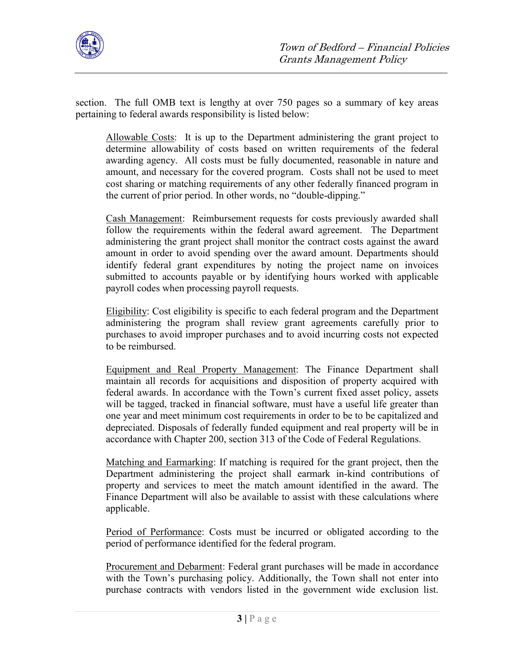

section. The full OMB text is lengthy at over 750 pages so a summary of key areas pertaining to federal awards responsibility is listed below:

Allowable Costs: It is up to the Department administering the grant project to determine allowability of costs based on written requirements of the federal awarding agency. All costs must be fully documented, reasonable in nature and amount, and necessary for the covered program. Costs shall not be used to meet cost sharing or matching requirements of any other federally financed program in the current of prior period. In other words, no "double-dipping."

Cash Management: Reimbursement requests for costs previously awarded shall follow the requirements within the federal award agreement. The Department administering the grant project shall monitor the contract costs against the award amount in order to avoid spending over the award amount. Departments should identify federal grant expenditures by noting the project name on invoices submitted to accounts payable or by identifying hours worked with applicable payroll codes when processing payroll requests.

Eligibility: Cost eligibility is specific to each federal program and the Department administering the program shall review grant agreements carefully prior to purchases to avoid improper purchases and to avoid incurring costs not expected to be reimbursed.

Equipment and Real Property Management: The Finance Department shall maintain all records for acquisitions and disposition of property acquired with federal awards. In accordance with the Town's current fixed asset policy, assets will be tagged, tracked in financial software, must have a useful life greater than one year and meet minimum cost requirements in order to be to be capitalized and depreciated. Disposals of federally funded equipment and real property will be in accordance with Chapter 200, section 313 of the Code of Federal Regulations.

Matching and Earmarking: If matching is required for the grant project, then the Department administering the project shall earmark in-kind contributions of property and services to meet the match amount identified in the award. The Finance Department will also be available to assist with these calculations where applicable.

Period of Performance: Costs must be incurred or obligated according to the period of performance identified for the federal program.

Procurement and Debarment: Federal grant purchases will be made in accordance with the Town's purchasing policy. Additionally, the Town shall not enter into purchase contracts with vendors listed in the government wide exclusion list.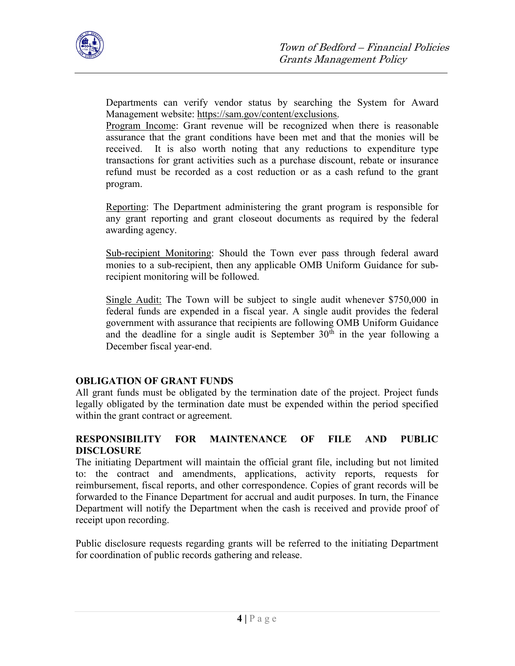

Departments can verify vendor status by searching the System for Award Management website: https://sam.gov/content/exclusions.

Program Income: Grant revenue will be recognized when there is reasonable assurance that the grant conditions have been met and that the monies will be received. It is also worth noting that any reductions to expenditure type transactions for grant activities such as a purchase discount, rebate or insurance refund must be recorded as a cost reduction or as a cash refund to the grant program.

Reporting: The Department administering the grant program is responsible for any grant reporting and grant closeout documents as required by the federal awarding agency.

Sub-recipient Monitoring: Should the Town ever pass through federal award monies to a sub-recipient, then any applicable OMB Uniform Guidance for subrecipient monitoring will be followed.

Single Audit: The Town will be subject to single audit whenever \$750,000 in federal funds are expended in a fiscal year. A single audit provides the federal government with assurance that recipients are following OMB Uniform Guidance and the deadline for a single audit is September  $30<sup>th</sup>$  in the year following a December fiscal year-end.

## OBLIGATION OF GRANT FUNDS

All grant funds must be obligated by the termination date of the project. Project funds legally obligated by the termination date must be expended within the period specified within the grant contract or agreement.

# RESPONSIBILITY FOR MAINTENANCE OF FILE AND PUBLIC DISCLOSURE

The initiating Department will maintain the official grant file, including but not limited to: the contract and amendments, applications, activity reports, requests for reimbursement, fiscal reports, and other correspondence. Copies of grant records will be forwarded to the Finance Department for accrual and audit purposes. In turn, the Finance Department will notify the Department when the cash is received and provide proof of receipt upon recording.

Public disclosure requests regarding grants will be referred to the initiating Department for coordination of public records gathering and release.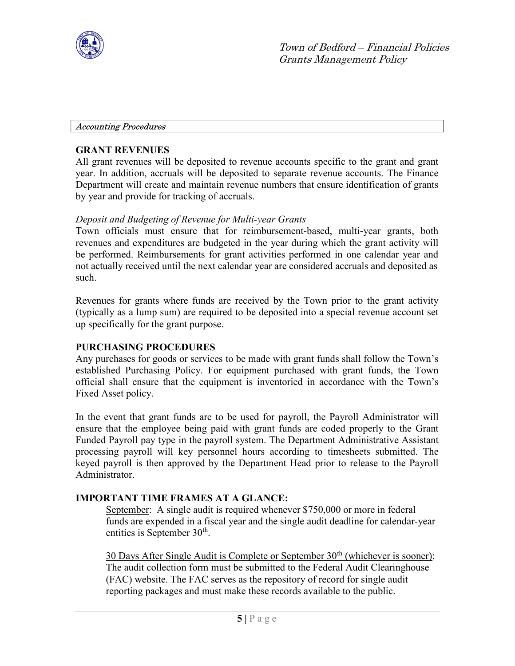

#### Accounting Procedures

## GRANT REVENUES

All grant revenues will be deposited to revenue accounts specific to the grant and grant year. In addition, accruals will be deposited to separate revenue accounts. The Finance Department will create and maintain revenue numbers that ensure identification of grants by year and provide for tracking of accruals.

# Deposit and Budgeting of Revenue for Multi-year Grants

Town officials must ensure that for reimbursement-based, multi-year grants, both revenues and expenditures are budgeted in the year during which the grant activity will be performed. Reimbursements for grant activities performed in one calendar year and not actually received until the next calendar year are considered accruals and deposited as such.

Revenues for grants where funds are received by the Town prior to the grant activity (typically as a lump sum) are required to be deposited into a special revenue account set up specifically for the grant purpose.

## PURCHASING PROCEDURES

Any purchases for goods or services to be made with grant funds shall follow the Town's established Purchasing Policy. For equipment purchased with grant funds, the Town official shall ensure that the equipment is inventoried in accordance with the Town's Fixed Asset policy.

In the event that grant funds are to be used for payroll, the Payroll Administrator will ensure that the employee being paid with grant funds are coded properly to the Grant Funded Payroll pay type in the payroll system. The Department Administrative Assistant processing payroll will key personnel hours according to timesheets submitted. The keyed payroll is then approved by the Department Head prior to release to the Payroll Administrator.

## IMPORTANT TIME FRAMES AT A GLANCE:

September: A single audit is required whenever \$750,000 or more in federal funds are expended in a fiscal year and the single audit deadline for calendar-year entities is September  $30<sup>th</sup>$ .

30 Days After Single Audit is Complete or September  $30<sup>th</sup>$  (whichever is sooner): The audit collection form must be submitted to the Federal Audit Clearinghouse (FAC) website. The FAC serves as the repository of record for single audit reporting packages and must make these records available to the public.